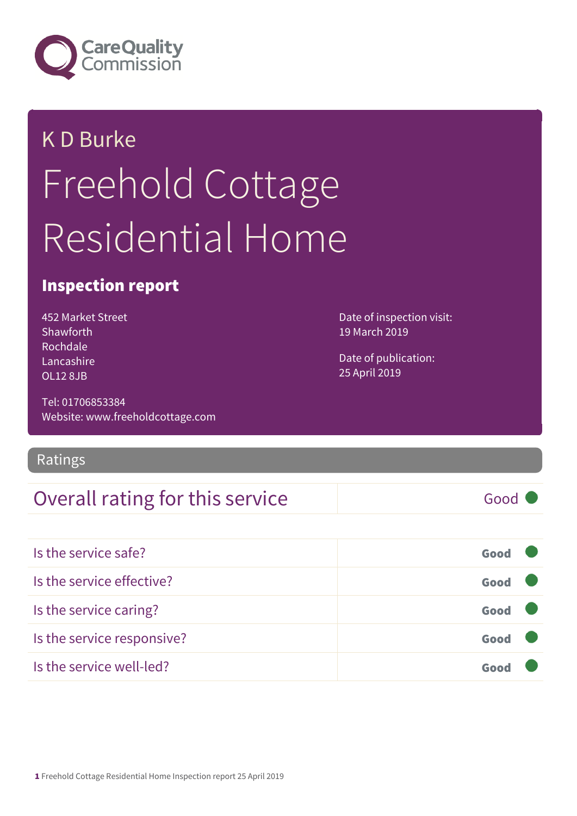

# K D Burke Freehold Cottage Residential Home

#### Inspection report

452 Market Street Shawforth Rochdale Lancashire OL12 8JB

Tel: 01706853384 Website: www.freeholdcottage.com

Ratings

#### Overall rating for this service Fig. 600 Good

Date of inspection visit: 19 March 2019

Date of publication: 25 April 2019

| Is the service safe?       | Good |  |
|----------------------------|------|--|
| Is the service effective?  | Good |  |
| Is the service caring?     | Good |  |
| Is the service responsive? | Good |  |
| Is the service well-led?   |      |  |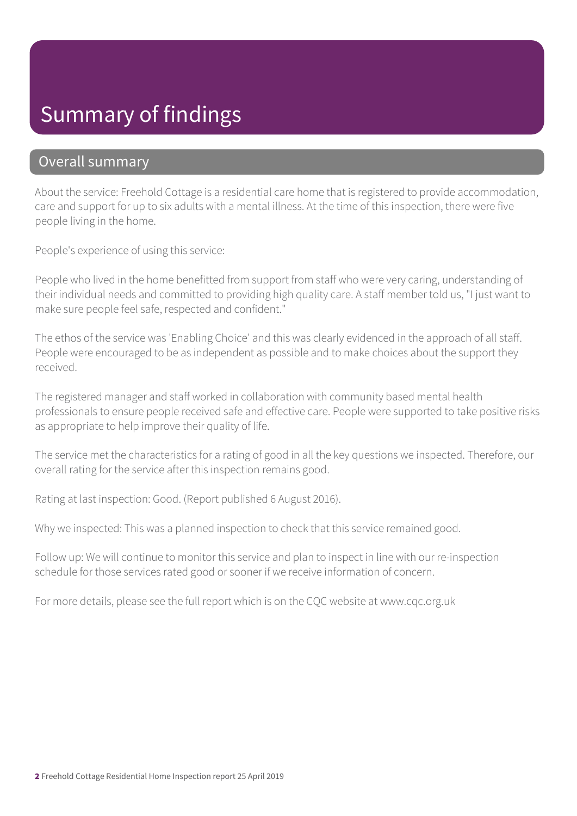### Summary of findings

#### Overall summary

About the service: Freehold Cottage is a residential care home that is registered to provide accommodation, care and support for up to six adults with a mental illness. At the time of this inspection, there were five people living in the home.

People's experience of using this service:

People who lived in the home benefitted from support from staff who were very caring, understanding of their individual needs and committed to providing high quality care. A staff member told us, "I just want to make sure people feel safe, respected and confident."

The ethos of the service was 'Enabling Choice' and this was clearly evidenced in the approach of all staff. People were encouraged to be as independent as possible and to make choices about the support they received.

The registered manager and staff worked in collaboration with community based mental health professionals to ensure people received safe and effective care. People were supported to take positive risks as appropriate to help improve their quality of life.

The service met the characteristics for a rating of good in all the key questions we inspected. Therefore, our overall rating for the service after this inspection remains good.

Rating at last inspection: Good. (Report published 6 August 2016).

Why we inspected: This was a planned inspection to check that this service remained good.

Follow up: We will continue to monitor this service and plan to inspect in line with our re-inspection schedule for those services rated good or sooner if we receive information of concern.

For more details, please see the full report which is on the CQC website at www.cqc.org.uk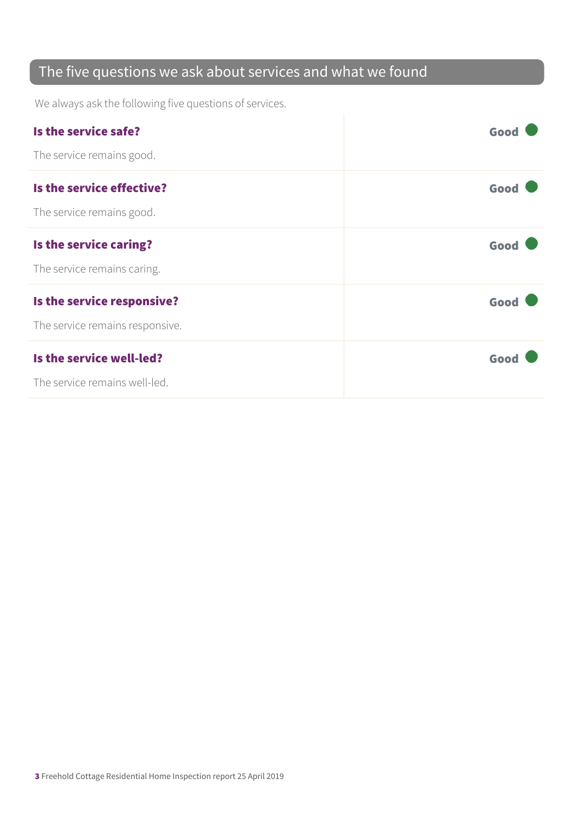#### The five questions we ask about services and what we found

We always ask the following five questions of services.

| Is the service safe?            | Good |
|---------------------------------|------|
| The service remains good.       |      |
| Is the service effective?       | Good |
| The service remains good.       |      |
| Is the service caring?          | Good |
| The service remains caring.     |      |
| Is the service responsive?      | Good |
| The service remains responsive. |      |
| Is the service well-led?        | Good |
| The service remains well-led.   |      |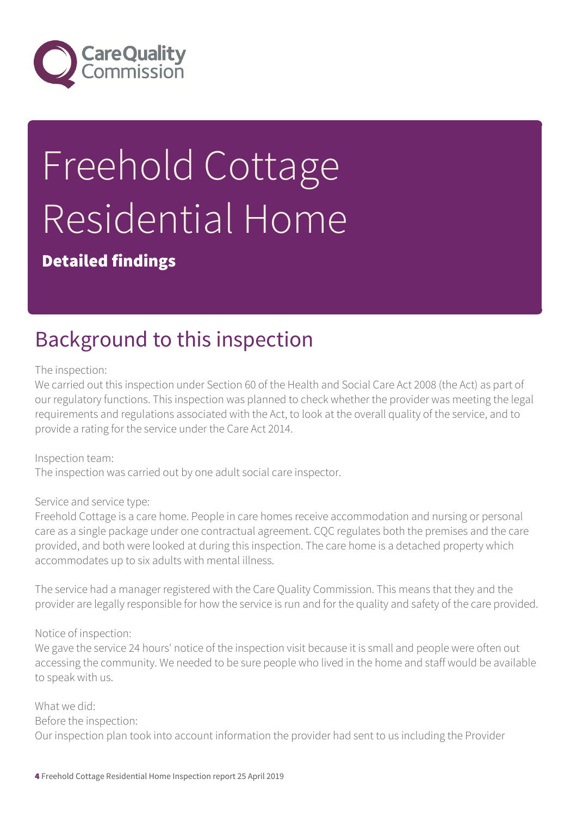

# Freehold Cottage Residential Home

Detailed findings

## Background to this inspection

The inspection:

We carried out this inspection under Section 60 of the Health and Social Care Act 2008 (the Act) as part of our regulatory functions. This inspection was planned to check whether the provider was meeting the legal requirements and regulations associated with the Act, to look at the overall quality of the service, and to provide a rating for the service under the Care Act 2014.

Inspection team: The inspection was carried out by one adult social care inspector.

Service and service type:

Freehold Cottage is a care home. People in care homes receive accommodation and nursing or personal care as a single package under one contractual agreement. CQC regulates both the premises and the care provided, and both were looked at during this inspection. The care home is a detached property which accommodates up to six adults with mental illness.

The service had a manager registered with the Care Quality Commission. This means that they and the provider are legally responsible for how the service is run and for the quality and safety of the care provided.

Notice of inspection:

We gave the service 24 hours' notice of the inspection visit because it is small and people were often out accessing the community. We needed to be sure people who lived in the home and staff would be available to speak with us.

What we did: Before the inspection: Our inspection plan took into account information the provider had sent to us including the Provider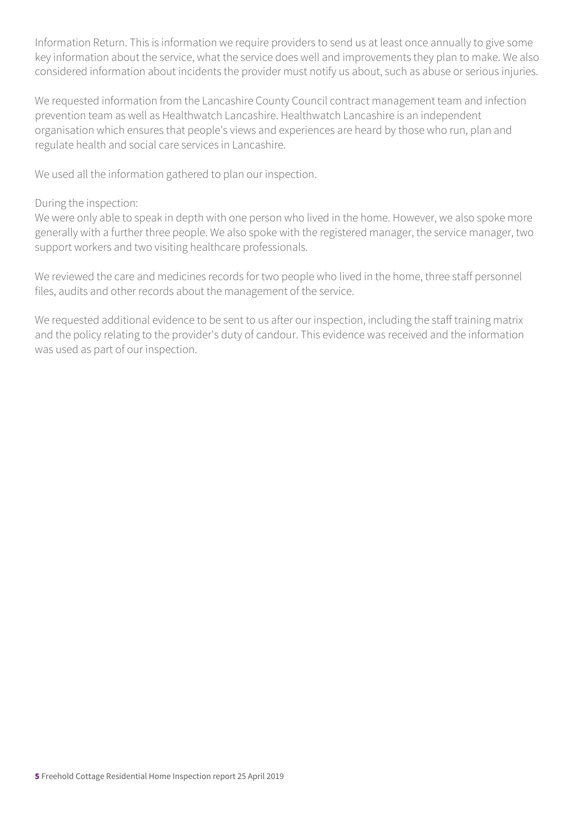Information Return. This is information we require providers to send us at least once annually to give some key information about the service, what the service does well and improvements they plan to make. We also considered information about incidents the provider must notify us about, such as abuse or serious injuries.

We requested information from the Lancashire County Council contract management team and infection prevention team as well as Healthwatch Lancashire. Healthwatch Lancashire is an independent organisation which ensures that people's views and experiences are heard by those who run, plan and regulate health and social care services in Lancashire.

We used all the information gathered to plan our inspection.

#### During the inspection:

We were only able to speak in depth with one person who lived in the home. However, we also spoke more generally with a further three people. We also spoke with the registered manager, the service manager, two support workers and two visiting healthcare professionals.

We reviewed the care and medicines records for two people who lived in the home, three staff personnel files, audits and other records about the management of the service.

We requested additional evidence to be sent to us after our inspection, including the staff training matrix and the policy relating to the provider's duty of candour. This evidence was received and the information was used as part of our inspection.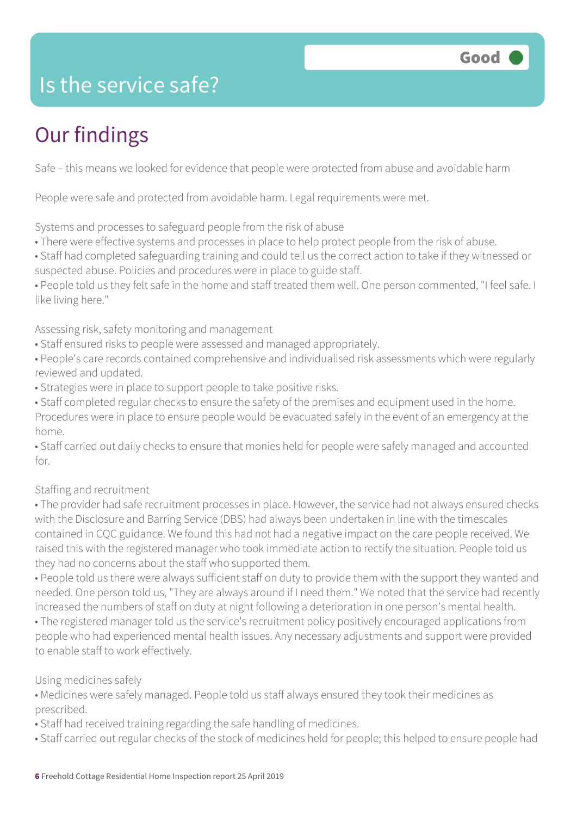

#### Is the service safe?

## Our findings

Safe – this means we looked for evidence that people were protected from abuse and avoidable harm

People were safe and protected from avoidable harm. Legal requirements were met.

Systems and processes to safeguard people from the risk of abuse

- There were effective systems and processes in place to help protect people from the risk of abuse.
- Staff had completed safeguarding training and could tell us the correct action to take if they witnessed or suspected abuse. Policies and procedures were in place to guide staff.
- People told us they felt safe in the home and staff treated them well. One person commented, "I feel safe. I like living here."

Assessing risk, safety monitoring and management

- Staff ensured risks to people were assessed and managed appropriately.
- People's care records contained comprehensive and individualised risk assessments which were regularly reviewed and updated.
- Strategies were in place to support people to take positive risks.
- Staff completed regular checks to ensure the safety of the premises and equipment used in the home. Procedures were in place to ensure people would be evacuated safely in the event of an emergency at the home.
- Staff carried out daily checks to ensure that monies held for people were safely managed and accounted for.

#### Staffing and recruitment

• The provider had safe recruitment processes in place. However, the service had not always ensured checks with the Disclosure and Barring Service (DBS) had always been undertaken in line with the timescales contained in CQC guidance. We found this had not had a negative impact on the care people received. We raised this with the registered manager who took immediate action to rectify the situation. People told us they had no concerns about the staff who supported them.

• People told us there were always sufficient staff on duty to provide them with the support they wanted and needed. One person told us, "They are always around if I need them." We noted that the service had recently increased the numbers of staff on duty at night following a deterioration in one person's mental health.

• The registered manager told us the service's recruitment policy positively encouraged applications from people who had experienced mental health issues. Any necessary adjustments and support were provided to enable staff to work effectively.

#### Using medicines safely

- Medicines were safely managed. People told us staff always ensured they took their medicines as prescribed.
- Staff had received training regarding the safe handling of medicines.
- Staff carried out regular checks of the stock of medicines held for people; this helped to ensure people had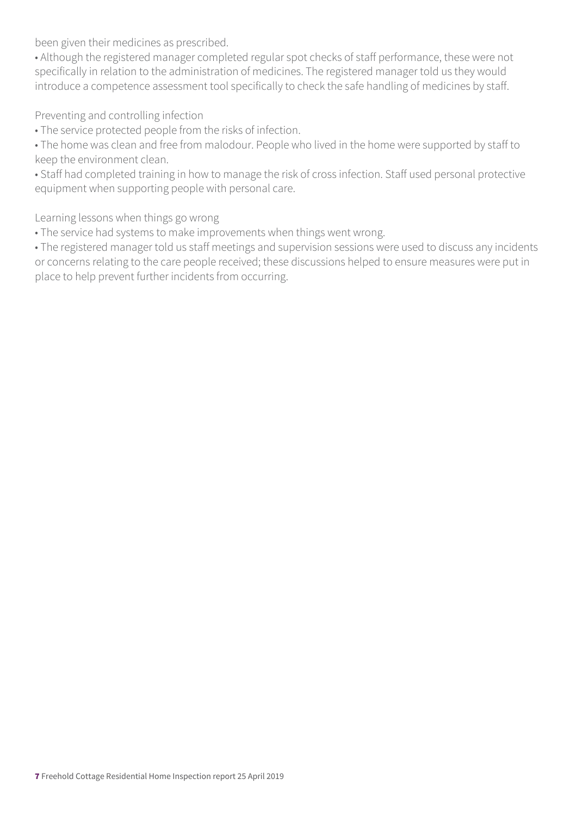been given their medicines as prescribed.

• Although the registered manager completed regular spot checks of staff performance, these were not specifically in relation to the administration of medicines. The registered manager told us they would introduce a competence assessment tool specifically to check the safe handling of medicines by staff.

Preventing and controlling infection

• The service protected people from the risks of infection.

• The home was clean and free from malodour. People who lived in the home were supported by staff to keep the environment clean.

• Staff had completed training in how to manage the risk of cross infection. Staff used personal protective equipment when supporting people with personal care.

Learning lessons when things go wrong

• The service had systems to make improvements when things went wrong.

• The registered manager told us staff meetings and supervision sessions were used to discuss any incidents or concerns relating to the care people received; these discussions helped to ensure measures were put in place to help prevent further incidents from occurring.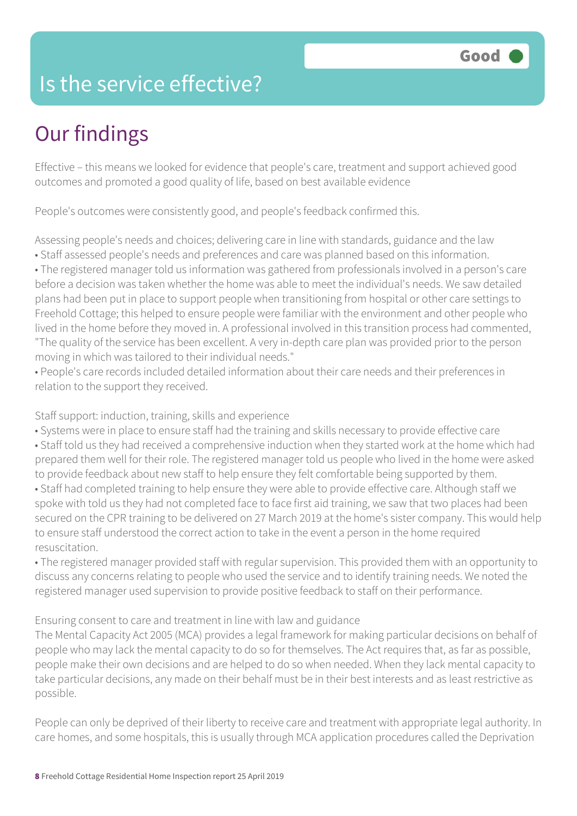### Is the service effective?

## Our findings

Effective – this means we looked for evidence that people's care, treatment and support achieved good outcomes and promoted a good quality of life, based on best available evidence

People's outcomes were consistently good, and people's feedback confirmed this.

Assessing people's needs and choices; delivering care in line with standards, guidance and the law • Staff assessed people's needs and preferences and care was planned based on this information.

• The registered manager told us information was gathered from professionals involved in a person's care before a decision was taken whether the home was able to meet the individual's needs. We saw detailed plans had been put in place to support people when transitioning from hospital or other care settings to Freehold Cottage; this helped to ensure people were familiar with the environment and other people who lived in the home before they moved in. A professional involved in this transition process had commented, "The quality of the service has been excellent. A very in-depth care plan was provided prior to the person moving in which was tailored to their individual needs."

• People's care records included detailed information about their care needs and their preferences in relation to the support they received.

Staff support: induction, training, skills and experience

• Systems were in place to ensure staff had the training and skills necessary to provide effective care • Staff told us they had received a comprehensive induction when they started work at the home which had prepared them well for their role. The registered manager told us people who lived in the home were asked to provide feedback about new staff to help ensure they felt comfortable being supported by them. • Staff had completed training to help ensure they were able to provide effective care. Although staff we spoke with told us they had not completed face to face first aid training, we saw that two places had been secured on the CPR training to be delivered on 27 March 2019 at the home's sister company. This would help to ensure staff understood the correct action to take in the event a person in the home required resuscitation.

• The registered manager provided staff with regular supervision. This provided them with an opportunity to discuss any concerns relating to people who used the service and to identify training needs. We noted the registered manager used supervision to provide positive feedback to staff on their performance.

Ensuring consent to care and treatment in line with law and guidance

The Mental Capacity Act 2005 (MCA) provides a legal framework for making particular decisions on behalf of people who may lack the mental capacity to do so for themselves. The Act requires that, as far as possible, people make their own decisions and are helped to do so when needed. When they lack mental capacity to take particular decisions, any made on their behalf must be in their best interests and as least restrictive as possible.

People can only be deprived of their liberty to receive care and treatment with appropriate legal authority. In care homes, and some hospitals, this is usually through MCA application procedures called the Deprivation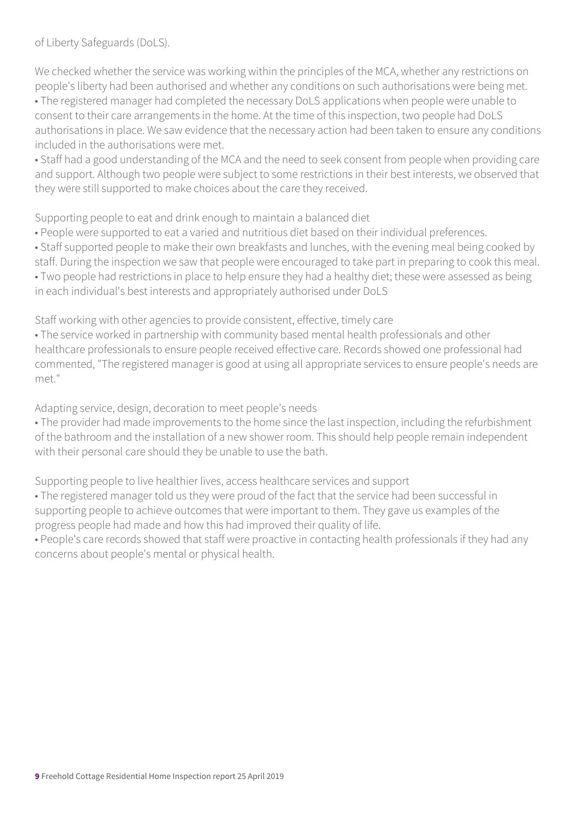of Liberty Safeguards (DoLS).

We checked whether the service was working within the principles of the MCA, whether any restrictions on people's liberty had been authorised and whether any conditions on such authorisations were being met. • The registered manager had completed the necessary DoLS applications when people were unable to

consent to their care arrangements in the home. At the time of this inspection, two people had DoLS authorisations in place. We saw evidence that the necessary action had been taken to ensure any conditions included in the authorisations were met.

• Staff had a good understanding of the MCA and the need to seek consent from people when providing care and support. Although two people were subject to some restrictions in their best interests, we observed that they were still supported to make choices about the care they received.

Supporting people to eat and drink enough to maintain a balanced diet

- People were supported to eat a varied and nutritious diet based on their individual preferences.
- Staff supported people to make their own breakfasts and lunches, with the evening meal being cooked by

staff. During the inspection we saw that people were encouraged to take part in preparing to cook this meal. • Two people had restrictions in place to help ensure they had a healthy diet; these were assessed as being in each individual's best interests and appropriately authorised under DoLS

Staff working with other agencies to provide consistent, effective, timely care

• The service worked in partnership with community based mental health professionals and other healthcare professionals to ensure people received effective care. Records showed one professional had commented, "The registered manager is good at using all appropriate services to ensure people's needs are met."

Adapting service, design, decoration to meet people's needs

• The provider had made improvements to the home since the last inspection, including the refurbishment of the bathroom and the installation of a new shower room. This should help people remain independent with their personal care should they be unable to use the bath.

Supporting people to live healthier lives, access healthcare services and support

• The registered manager told us they were proud of the fact that the service had been successful in supporting people to achieve outcomes that were important to them. They gave us examples of the progress people had made and how this had improved their quality of life.

• People's care records showed that staff were proactive in contacting health professionals if they had any concerns about people's mental or physical health.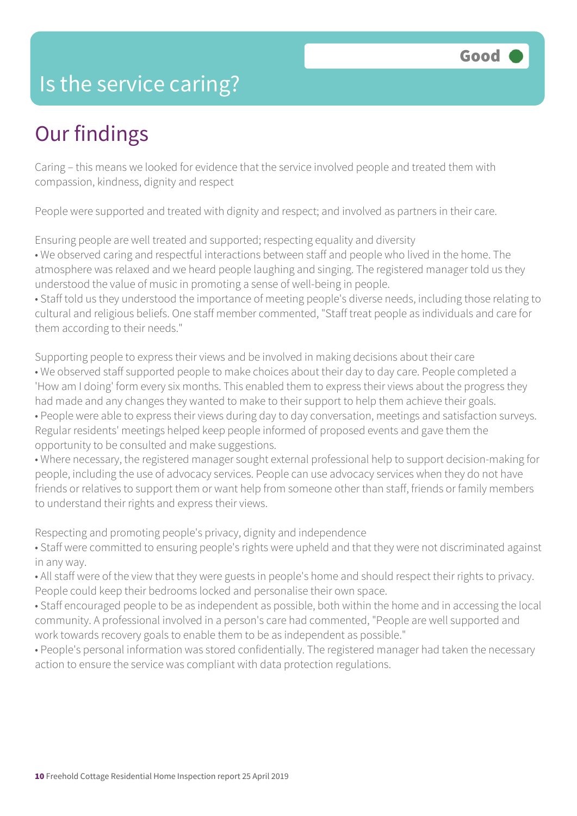#### Is the service caring?

### Our findings

Caring – this means we looked for evidence that the service involved people and treated them with compassion, kindness, dignity and respect

People were supported and treated with dignity and respect; and involved as partners in their care.

Ensuring people are well treated and supported; respecting equality and diversity

• We observed caring and respectful interactions between staff and people who lived in the home. The atmosphere was relaxed and we heard people laughing and singing. The registered manager told us they understood the value of music in promoting a sense of well-being in people.

• Staff told us they understood the importance of meeting people's diverse needs, including those relating to cultural and religious beliefs. One staff member commented, "Staff treat people as individuals and care for them according to their needs."

Supporting people to express their views and be involved in making decisions about their care • We observed staff supported people to make choices about their day to day care. People completed a 'How am I doing' form every six months. This enabled them to express their views about the progress they had made and any changes they wanted to make to their support to help them achieve their goals. • People were able to express their views during day to day conversation, meetings and satisfaction surveys. Regular residents' meetings helped keep people informed of proposed events and gave them the opportunity to be consulted and make suggestions.

• Where necessary, the registered manager sought external professional help to support decision-making for people, including the use of advocacy services. People can use advocacy services when they do not have friends or relatives to support them or want help from someone other than staff, friends or family members to understand their rights and express their views.

Respecting and promoting people's privacy, dignity and independence

• Staff were committed to ensuring people's rights were upheld and that they were not discriminated against in any way.

• All staff were of the view that they were guests in people's home and should respect their rights to privacy. People could keep their bedrooms locked and personalise their own space.

• Staff encouraged people to be as independent as possible, both within the home and in accessing the local community. A professional involved in a person's care had commented, "People are well supported and work towards recovery goals to enable them to be as independent as possible."

• People's personal information was stored confidentially. The registered manager had taken the necessary action to ensure the service was compliant with data protection regulations.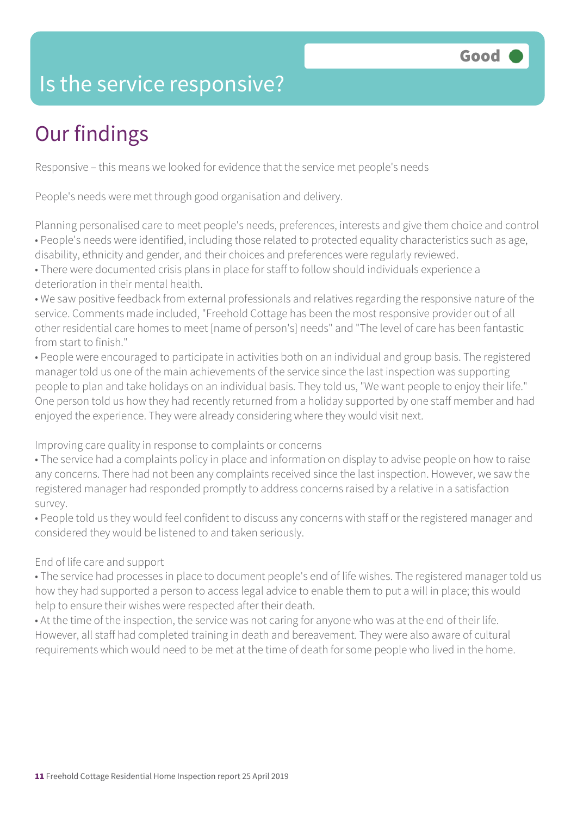### Is the service responsive?

## Our findings

Responsive – this means we looked for evidence that the service met people's needs

People's needs were met through good organisation and delivery.

Planning personalised care to meet people's needs, preferences, interests and give them choice and control • People's needs were identified, including those related to protected equality characteristics such as age, disability, ethnicity and gender, and their choices and preferences were regularly reviewed.

• There were documented crisis plans in place for staff to follow should individuals experience a deterioration in their mental health.

• We saw positive feedback from external professionals and relatives regarding the responsive nature of the service. Comments made included, "Freehold Cottage has been the most responsive provider out of all other residential care homes to meet [name of person's] needs" and "The level of care has been fantastic

from start to finish."

• People were encouraged to participate in activities both on an individual and group basis. The registered manager told us one of the main achievements of the service since the last inspection was supporting people to plan and take holidays on an individual basis. They told us, "We want people to enjoy their life." One person told us how they had recently returned from a holiday supported by one staff member and had enjoyed the experience. They were already considering where they would visit next.

Improving care quality in response to complaints or concerns

• The service had a complaints policy in place and information on display to advise people on how to raise any concerns. There had not been any complaints received since the last inspection. However, we saw the registered manager had responded promptly to address concerns raised by a relative in a satisfaction survey.

• People told us they would feel confident to discuss any concerns with staff or the registered manager and considered they would be listened to and taken seriously.

#### End of life care and support

• The service had processes in place to document people's end of life wishes. The registered manager told us how they had supported a person to access legal advice to enable them to put a will in place; this would help to ensure their wishes were respected after their death.

• At the time of the inspection, the service was not caring for anyone who was at the end of their life. However, all staff had completed training in death and bereavement. They were also aware of cultural requirements which would need to be met at the time of death for some people who lived in the home.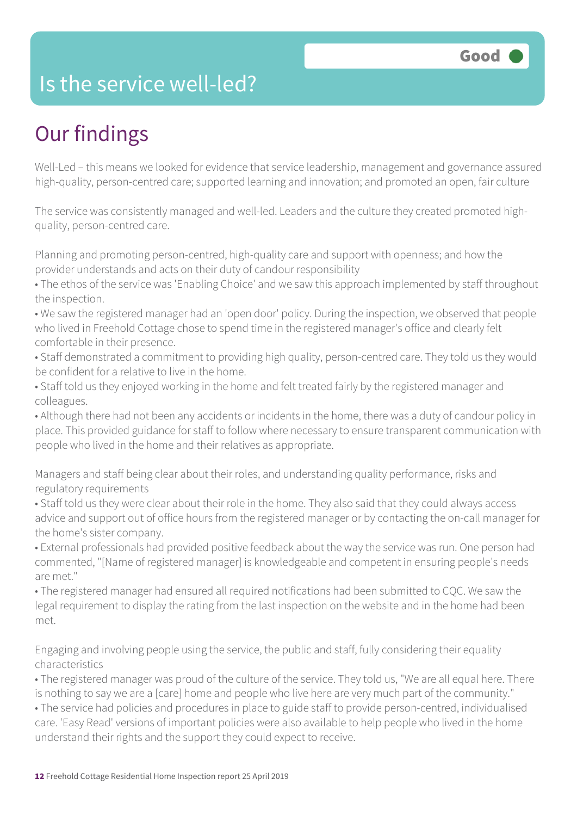#### Is the service well-led?

## Our findings

Well-Led – this means we looked for evidence that service leadership, management and governance assured high-quality, person-centred care; supported learning and innovation; and promoted an open, fair culture

The service was consistently managed and well-led. Leaders and the culture they created promoted highquality, person-centred care.

Planning and promoting person-centred, high-quality care and support with openness; and how the provider understands and acts on their duty of candour responsibility

• The ethos of the service was 'Enabling Choice' and we saw this approach implemented by staff throughout the inspection.

• We saw the registered manager had an 'open door' policy. During the inspection, we observed that people who lived in Freehold Cottage chose to spend time in the registered manager's office and clearly felt comfortable in their presence.

• Staff demonstrated a commitment to providing high quality, person-centred care. They told us they would be confident for a relative to live in the home.

• Staff told us they enjoyed working in the home and felt treated fairly by the registered manager and colleagues.

• Although there had not been any accidents or incidents in the home, there was a duty of candour policy in place. This provided guidance for staff to follow where necessary to ensure transparent communication with people who lived in the home and their relatives as appropriate.

Managers and staff being clear about their roles, and understanding quality performance, risks and regulatory requirements

• Staff told us they were clear about their role in the home. They also said that they could always access advice and support out of office hours from the registered manager or by contacting the on-call manager for the home's sister company.

• External professionals had provided positive feedback about the way the service was run. One person had commented, "[Name of registered manager] is knowledgeable and competent in ensuring people's needs are met."

• The registered manager had ensured all required notifications had been submitted to CQC. We saw the legal requirement to display the rating from the last inspection on the website and in the home had been met.

Engaging and involving people using the service, the public and staff, fully considering their equality characteristics

• The registered manager was proud of the culture of the service. They told us, "We are all equal here. There is nothing to say we are a [care] home and people who live here are very much part of the community."

• The service had policies and procedures in place to guide staff to provide person-centred, individualised care. 'Easy Read' versions of important policies were also available to help people who lived in the home understand their rights and the support they could expect to receive.